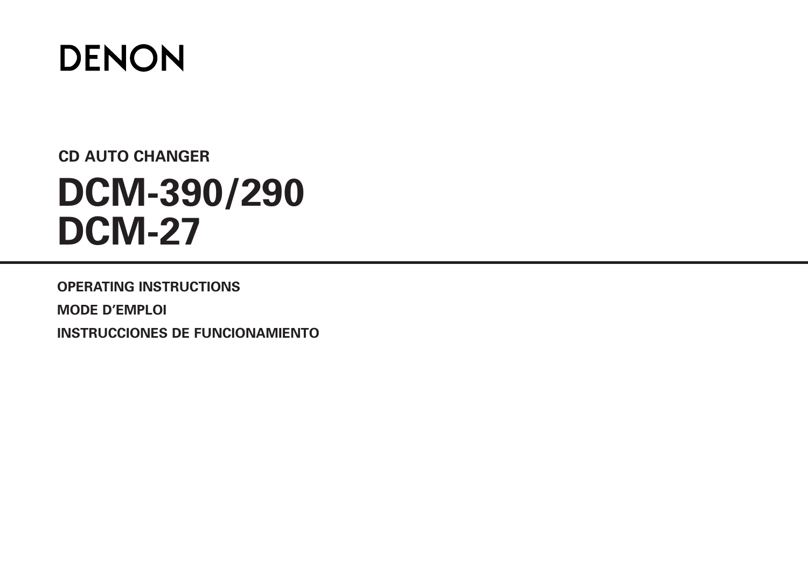

# **CD AUTO CHANGER DCM-390/290 DCM-27**

**OPERATING INSTRUCTIONS MODE D'EMPLOI**

**INSTRUCCIONES DE FUNCIONAMIENTO**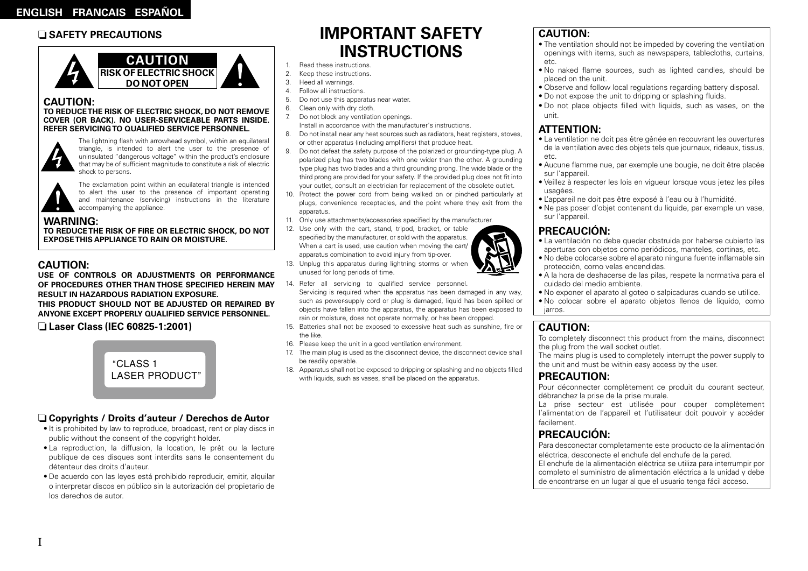### n **SAFETY PRECAUTIONS**



### **CAUTION:**

#### **TO REDUCETHE RISK OF ELECTRIC SHOCK, DO NOT REMOVE COVER (OR BACK). NO USER-SERVICEABLE PARTS INSIDE. REFER SERVICINGTO QUALIFIED SERVICE PERSONNEL.**



The lightning flash with arrowhead symbol, within an equilateral triangle, is intended to alert the user to the presence of uninsulated "dangerous voltage" within the product's enclosure that may be of sufficient magnitude to constitute a risk of electric shock to persons.



The exclamation point within an equilateral triangle is intended to alert the user to the presence of important operating and maintenance (servicing) instructions in the literature accompanying the appliance.

### **WARNING:**

**TO REDUCETHE RISK OF FIRE OR ELECTRIC SHOCK, DO NOT EXPOSETHIS APPLIANCETO RAIN OR MOISTURE.**

### **CAUTION:**

I

**USE OF CONTROLS OR ADJUSTMENTS OR PERFORMANCE OF PROCEDURES OTHER THAN THOSE SPECIFIED HEREIN MAY RESULT IN HAZARDOUS RADIATION EXPOSURE. THIS PRODUCT SHOULD NOT BE ADJUSTED OR REPAIRED BY ANYONE EXCEPT PROPERLY QUALIFIED SERVICE PERSONNEL.**

n **Laser Class (IEC 60825-1:2001)**



### n **Copyrights / Droits d'auteur / Derechos de Autor**

- It is prohibited by law to reproduce, broadcast, rent or play discs in public without the consent of the copyright holder.
- La reproduction, la diffusion, la location, le prêt ou la lecture publique de ces disques sont interdits sans le consentement du détenteur des droits d'auteur.
- De acuerdo con las leyes está prohibido reproducir, emitir, alquilar o interpretar discos en público sin la autorización del propietario de los derechos de autor.

# **IMPORTANT SAFETY INSTRUCTIONS**

- 1. Read these instructions.
- 2. Keep these instructions.
- 3. Heed all warnings.
- 4. Follow all instructions.
- 5. Do not use this apparatus near water.
- 6. Clean only with dry cloth.
- 7. Do not block any ventilation openings. Install in accordance with the manufacturer's instructions.
- 8. Do not install near any heat sources such as radiators, heat registers, stoves, or other apparatus (including amplifiers) that produce heat.
- 9. Do not defeat the safety purpose of the polarized or grounding-type plug. A polarized plug has two blades with one wider than the other. A grounding type plug has two blades and a third grounding prong. The wide blade or the third prong are provided for your safety. If the provided plug does not fit into your outlet, consult an electrician for replacement of the obsolete outlet.
- 10. Protect the power cord from being walked on or pinched particularly at plugs, convenience receptacles, and the point where they exit from the apparatus.
- 11. Only use attachments/accessories specified by the manufacturer.
- 12. Use only with the cart, stand, tripod, bracket, or table specified by the manufacturer, or sold with the apparatus. When a cart is used, use caution when moving the cart/ apparatus combination to avoid injury from tip-over.
- 13. Unplug this apparatus during lightning storms or when unused for long periods of time.
- 14. Refer all servicing to qualified service personnel. Servicing is required when the apparatus has been damaged in any way, such as power-supply cord or plug is damaged, liquid has been spilled or objects have fallen into the apparatus, the apparatus has been exposed to rain or moisture, does not operate normally, or has been dropped.
- 15. Batteries shall not be exposed to excessive heat such as sunshine, fire or the like.
- 16. Please keep the unit in a good ventilation environment.
- 17. The main plug is used as the disconnect device, the disconnect device shall be readily operable.
- 18. Apparatus shall not be exposed to dripping or splashing and no objects filled with liquids, such as vases, shall be placed on the apparatus.

### **CAUTION:**

- The ventilation should not be impeded by covering the ventilation openings with items, such as newspapers, tablecloths, curtains, etc.
- No naked flame sources, such as lighted candles, should be placed on the unit.
- Observe and follow local regulations regarding battery disposal.
- Do not expose the unit to dripping or splashing fluids.
- Do not place objects filled with liquids, such as vases, on the unit.

## **ATTENTION:**

- La ventilation ne doit pas être gênée en recouvrant les ouvertures de la ventilation avec des objets tels que journaux, rideaux, tissus, etc.
- Aucune flamme nue, par exemple une bougie, ne doit être placée sur l'appareil.
- Veillez à respecter les lois en vigueur lorsque vous jetez les piles usagées.
- L'appareil ne doit pas être exposé à l'eau ou à l'humidité.
- Ne pas poser d'objet contenant du liquide, par exemple un vase, sur l'appareil.

### **PRECAUCIÓN:**

- La ventilación no debe quedar obstruida por haberse cubierto las aperturas con objetos como periódicos, manteles, cortinas, etc.
- No debe colocarse sobre el aparato ninguna fuente inflamable sin protección, como velas encendidas.
- A la hora de deshacerse de las pilas, respete la normativa para el cuidado del medio ambiente.
- No exponer el aparato al goteo o salpicaduras cuando se utilice.
- No colocar sobre el aparato objetos llenos de líquido, como jarros.

### **CAUTION:**

To completely disconnect this product from the mains, disconnect the plug from the wall socket outlet.

The mains plug is used to completely interrupt the power supply to the unit and must be within easy access by the user.

### **PRECAUTION:**

Pour déconnecter complètement ce produit du courant secteur, débranchez la prise de la prise murale.

La prise secteur est utilisée pour couper complètement l'alimentation de l'appareil et l'utilisateur doit pouvoir y accéder facilement.

## **PRECAUCIÓN:**

Para desconectar completamente este producto de la alimentación eléctrica, desconecte el enchufe del enchufe de la pared. El enchufe de la alimentación eléctrica se utiliza para interrumpir por completo el suministro de alimentación eléctrica a la unidad y debe de encontrarse en un lugar al que el usuario tenga fácil acceso.





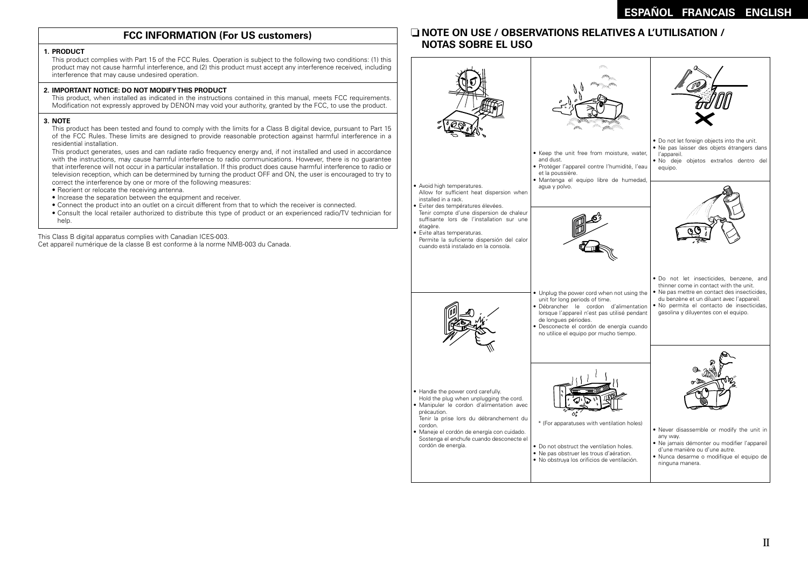### **FCC INFORMATION (For US customers)**

#### **1. PRODUCT**

This product complies with Part 15 of the FCC Rules. Operation is subject to the following two conditions: (1) this product may not cause harmful interference, and (2) this product must accept any interference received, including interference that may cause undesired operation.

#### **2. IMPORTANT NOTICE: DO NOT MODIFYTHIS PRODUCT**

This product, when installed as indicated in the instructions contained in this manual, meets FCC requirements. Modification not expressly approved by DENON may void your authority, granted by the FCC, to use the product.

#### **3. NOTE**

This product has been tested and found to comply with the limits for a Class B digital device, pursuant to Part 15 of the FCC Rules. These limits are designed to provide reasonable protection against harmful interference in a residential installation.

This product generates, uses and can radiate radio frequency energy and, if not installed and used in accordance with the instructions, may cause harmful interference to radio communications. However, there is no guarantee that interference will not occur in a particular installation. If this product does cause harmful interference to radio or television reception, which can be determined by turning the product OFF and ON, the user is encouraged to try to correct the interference by one or more of the following measures:

- Reorient or relocate the receiving antenna.
- Increase the separation between the equipment and receiver.
- Connect the product into an outlet on a circuit different from that to which the receiver is connected.
- Consult the local retailer authorized to distribute this type of product or an experienced radio/TV technician for help

This Class B digital apparatus complies with Canadian ICES-003. Cet appareil numérique de la classe B est conforme à la norme NMB-003 du Canada.

### n **NOTE ON USE / OBSERVATIONS RELATIVES A L'UTILISATION / NOTAS SOBRE EL USO**

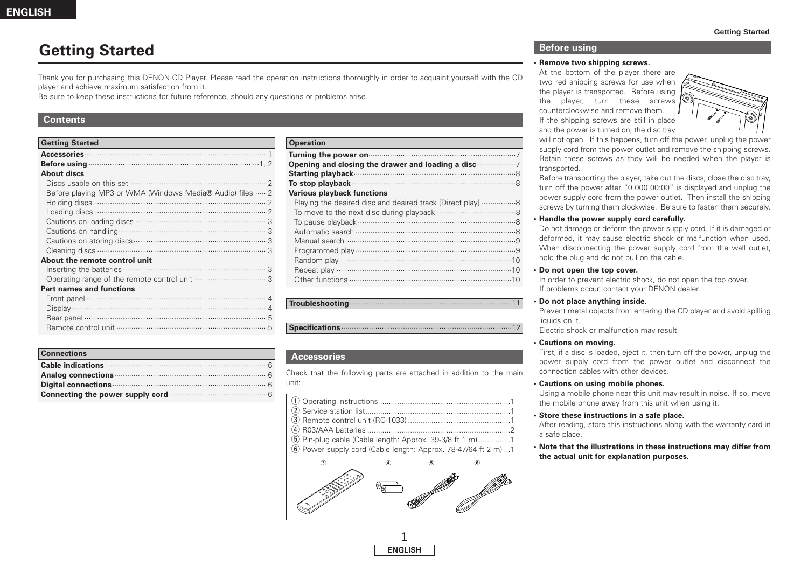## **Getting Started**

Thank you for purchasing this DENON CD Player. Please read the operation instructions thoroughly in order to acquaint yourself with the CD player and achieve maximum satisfaction from it.

Be sure to keep these instructions for future reference, should any questions or problems arise.

#### **Contents**

| <b>Getting Started</b>                                   |
|----------------------------------------------------------|
|                                                          |
|                                                          |
| <b>About discs</b>                                       |
|                                                          |
| Before playing MP3 or WMA (Windows Media® Audio) files 2 |
|                                                          |
|                                                          |
|                                                          |
|                                                          |
|                                                          |
|                                                          |
| About the remote control unit                            |
|                                                          |
|                                                          |
| <b>Part names and functions</b>                          |
|                                                          |
|                                                          |
|                                                          |

| <b>Connections</b>                                                                                                                                                                                                                  |
|-------------------------------------------------------------------------------------------------------------------------------------------------------------------------------------------------------------------------------------|
|                                                                                                                                                                                                                                     |
| Analog connections <b>Example 20</b> and 20 and 30 and 30 and 30 and 30 and 30 and 30 and 30 and 30 and 30 and 30 and 30 and 30 and 30 and 30 and 30 and 30 and 30 and 30 and 30 and 30 and 30 and 30 and 30 and 30 and 30 and 30 a |
| Digital connections <b>constant of the connections</b> of the connections of the connections of the connections of the connections of the connections of the connections of the connections of the connections of the connections o |
|                                                                                                                                                                                                                                     |

Remote control unit ·······································································5

| <b>Operation</b>                                                                                              |  |
|---------------------------------------------------------------------------------------------------------------|--|
| Turning the power on manufactured and a power of the power on the set of the set of the set of the set of the |  |
| Opening and closing the drawer and loading a disc                                                             |  |
|                                                                                                               |  |
|                                                                                                               |  |
| <b>Various playback functions</b>                                                                             |  |
| Playing the desired disc and desired track [Direct play] 8                                                    |  |
|                                                                                                               |  |
|                                                                                                               |  |
|                                                                                                               |  |
|                                                                                                               |  |
|                                                                                                               |  |
|                                                                                                               |  |
|                                                                                                               |  |
|                                                                                                               |  |
|                                                                                                               |  |

#### **Troubleshooting**············································································11

#### **Specifications**················································································12

### **Accessories**

Check that the following parts are attached in addition to the main unit:

| 5 Pin-plug cable (Cable length: Approx. 39-3/8 ft 1 m) 1 |  |
|----------------------------------------------------------|--|

 $\overline{6}$  Power supply cord (Cable length: Approx. 78-47/64 ft 2 m) ...1



### 1 **ENGLISH**

#### **Before using**

#### **•Remove two shipping screws.**

At the bottom of the player there are two red shipping screws for use when the player is transported. Before using the player, turn these screws counterclockwise and remove them. If the shipping screws are still in place and the power is turned on, the disc tray



will not open. If this happens, turn off the power, unplug the power supply cord from the power outlet and remove the shipping screws. Retain these screws as they will be needed when the player is transported.

Before transporting the player, take out the discs, close the disc tray, turn off the power after "0 000 00:00" is displayed and unplug the power supply cord from the power outlet. Then install the shipping screws by turning them clockwise. Be sure to fasten them securely.

#### **• Handle the power supply cord carefully.**

Do not damage or deform the power supply cord. If it is damaged or deformed, it may cause electric shock or malfunction when used. When disconnecting the power supply cord from the wall outlet, hold the plug and do not pull on the cable.

#### **• Do not open the top cover.**

In order to prevent electric shock, do not open the top cover. If problems occur, contact your DENON dealer.

#### **• Do not place anything inside.**

Prevent metal objects from entering the CD player and avoid spilling liquids on it.

Electric shock or malfunction may result.

#### **• Cautions on moving.**

First, if a disc is loaded, eject it, then turn off the power, unplug the power supply cord from the power outlet and disconnect the connection cables with other devices.

#### **• Cautions on using mobile phones.**

Using a mobile phone near this unit may result in noise. If so, move the mobile phone away from this unit when using it.

#### **• Store these instructions in a safe place.**

After reading, store this instructions along with the warranty card in a safe place.

**• Note that the illustrations in these instructions may differ from the actual unit for explanation purposes.**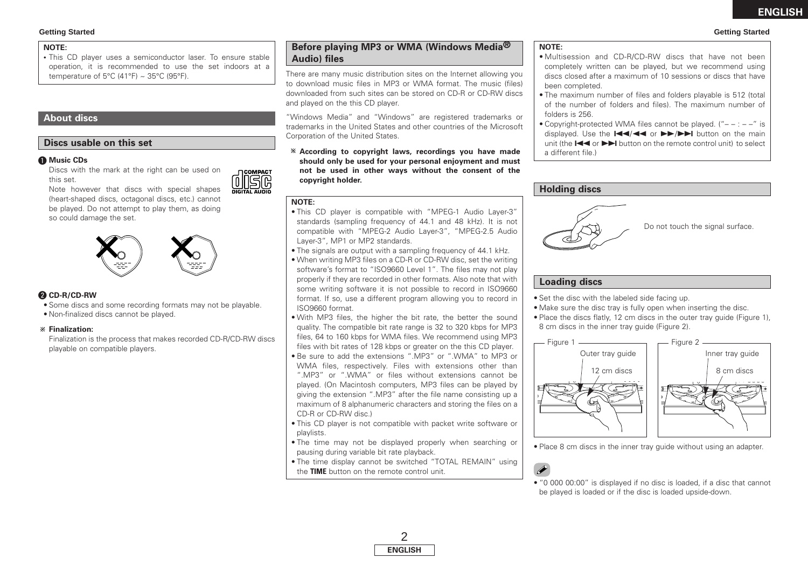#### **Getting Started Getting Started**

#### **NOTE:**

**•** This CD player uses a semiconductor laser. To ensure stable operation, it is recommended to use the set indoors at a temperature of 5°C (41°F)  $\sim$  35°C (95°F).

### **About discs**

### **Discs usable on this set**

#### q **Music CDs**

Discs with the mark at the right can be used on this set.



Note however that discs with special shapes (heart-shaped discs, octagonal discs, etc.) cannot be played. Do not attempt to play them, as doing so could damage the set.



### **@ CD-R/CD-RW**

- Some discs and some recording formats may not be playable.
- Non-finalized discs cannot be played.

#### **Finalization:**

Finalization is the process that makes recorded CD-R/CD-RW discs playable on compatible players.

### **Before playing MP3 or WMA (Windows Media® Audio) files**

There are many music distribution sites on the Internet allowing you to download music files in MP3 or WMA format. The music (files) downloaded from such sites can be stored on CD-R or CD-RW discs and played on the this CD player.

"Windows Media" and "Windows" are registered trademarks or trademarks in the United States and other countries of the Microsoft Corporation of the United States.

**According to copyright laws, recordings you have made should only be used for your personal enjoyment and must not be used in other ways without the consent of the copyright holder.**

#### **NOTE:**

- This CD player is compatible with "MPEG-1 Audio Layer-3" standards (sampling frequency of 44.1 and 48 kHz). It is not compatible with "MPEG-2 Audio Layer-3", "MPEG-2.5 Audio Layer-3", MP1 or MP2 standards.
- The signals are output with a sampling frequency of 44.1 kHz.
- When writing MP3 files on a CD-R or CD-RW disc, set the writing software's format to "ISO9660 Level 1". The files may not play properly if they are recorded in other formats. Also note that with some writing software it is not possible to record in ISO9660 format. If so, use a different program allowing you to record in ISO9660 format.
- With MP3 files, the higher the bit rate, the better the sound quality. The compatible bit rate range is 32 to 320 kbps for MP3 files, 64 to 160 kbps for WMA files. We recommend using MP3 files with bit rates of 128 kbps or greater on the this CD player.
- Be sure to add the extensions ".MP3" or ".WMA" to MP3 or WMA files, respectively. Files with extensions other than ".MP3" or ".WMA" or files without extensions cannot be played. (On Macintosh computers, MP3 files can be played by giving the extension ".MP3" after the file name consisting up a maximum of 8 alphanumeric characters and storing the files on a CD-R or CD-RW disc.)
- This CD player is not compatible with packet write software or playlists.
- The time may not be displayed properly when searching or pausing during variable bit rate playback.
- The time display cannot be switched "TOTAL REMAIN" using the **TIME** button on the remote control unit.

#### **NOTE:**

- Multisession and CD-R/CD-RW discs that have not been completely written can be played, but we recommend using discs closed after a maximum of 10 sessions or discs that have been completed.
- The maximum number of files and folders playable is 512 (total of the number of folders and files). The maximum number of folders is 256.
- Copyright-protected WMA files cannot be played. ("– : –" is displayed. Use the  $\left| \right|$   $\left| \right|$  or  $\left| \right|$   $\left| \right|$  button on the main unit (the  $\blacktriangleleft$  or  $\blacktriangleright$  button on the remote control unit) to select a different file.)

### **Holding discs**



### **Loading discs**

- Set the disc with the labeled side facing up.
- Make sure the disc tray is fully open when inserting the disc.
- Place the discs flatly, 12 cm discs in the outer tray guide (Figure 1), 8 cm discs in the inner tray guide (Figure 2).



• Place 8 cm discs in the inner tray guide without using an adapter.



• "0 000 00:00" is displayed if no disc is loaded, if a disc that cannot be played is loaded or if the disc is loaded upside-down.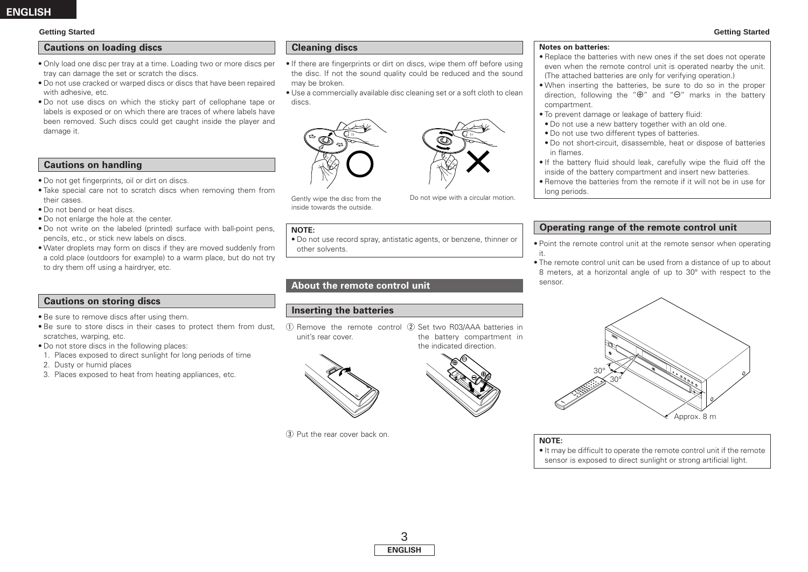#### **Getting Started Getting Started**

### **Cautions on loading discs**

- Only load one disc per tray at a time. Loading two or more discs per tray can damage the set or scratch the discs.
- Do not use cracked or warped discs or discs that have been repaired with adhesive, etc.
- Do not use discs on which the sticky part of cellophane tape or labels is exposed or on which there are traces of where labels have been removed. Such discs could get caught inside the player and damage it.

#### **Cautions on handling**

- Do not get fingerprints, oil or dirt on discs.
- Take special care not to scratch discs when removing them from their cases.
- Do not bend or heat discs.
- Do not enlarge the hole at the center.
- Do not write on the labeled (printed) surface with ball-point pens, pencils, etc., or stick new labels on discs.
- Water droplets may form on discs if they are moved suddenly from a cold place (outdoors for example) to a warm place, but do not try to dry them off using a hairdryer, etc.

### **Cautions on storing discs**

- Be sure to remove discs after using them.
- Be sure to store discs in their cases to protect them from dust, scratches, warping, etc.
- Do not store discs in the following places:
- 1. Places exposed to direct sunlight for long periods of time
- 2. Dusty or humid places
- 3. Places exposed to heat from heating appliances, etc.

### **Cleaning discs**

- If there are fingerprints or dirt on discs, wipe them off before using the disc. If not the sound quality could be reduced and the sound may be broken.
- Use a commercially available disc cleaning set or a soft cloth to clean discs.



Gently wipe the disc from the inside towards the outside.

#### **NOTE:**

• Do not use record spray, antistatic agents, or benzene, thinner or other solvents.

### **About the remote control unit**

### **Inserting the batteries**

1) Remove the remote control 2 Set two R03/AAA batteries in unit's rear cover. the battery compartment in the indicated direction.



(3) Put the rear cover back on.



- Replace the batteries with new ones if the set does not operate even when the remote control unit is operated nearby the unit. (The attached batteries are only for verifying operation.)
- When inserting the batteries, be sure to do so in the proper direction, following the " $\oplus$ " and " $\ominus$ " marks in the battery compartment.
- To prevent damage or leakage of battery fluid:
- Do not use a new battery together with an old one.
- Do not use two different types of batteries.
- Do not short-circuit, disassemble, heat or dispose of batteries in flames.
- If the battery fluid should leak, carefully wipe the fluid off the inside of the battery compartment and insert new batteries.
- Remove the batteries from the remote if it will not be in use for long periods.

### **Operating range of the remote control unit**

- Point the remote control unit at the remote sensor when operating it.
- The remote control unit can be used from a distance of up to about 8 meters, at a horizontal angle of up to 30° with respect to the sensor.



**NOTE:**

• It may be difficult to operate the remote control unit if the remote sensor is exposed to direct sunlight or strong artificial light.



Do not wipe with a circular motion.

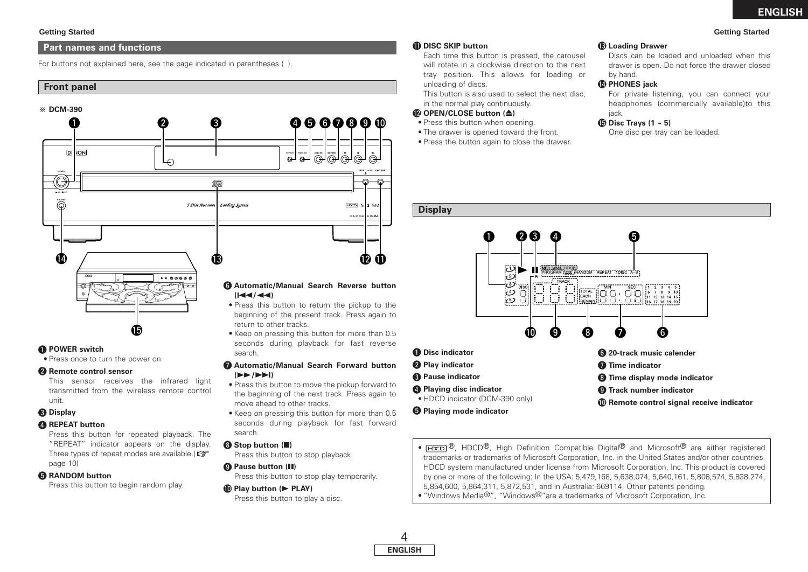#### **Getting Started Getting Started**

#### **Part names and functions**

For buttons not explained here, see the page indicated in parentheses ( ).

#### **Front panel**



search.

search.  $\odot$  **Stop button (** 

o **Pause button (**3**)**

!0**Play button (**<sup>1</sup> **PLAY)**

**(**7**/**9**)**

move ahead to other tracks.

Press this button to stop playback.

Press this button to play a disc.

Press this button to stop play temporarily.

**Automatic/Manual Search Forward button** 

• Press this button to move the pickup forward to the beginning of the next track. Press again to

• Keep on pressing this button for more than 0.5 seconds during playback for fast forward

### **Q** POWER switch

• Press once to turn the power on.

#### **<sup>2</sup>** Remote control sensor

This sensor receives the infrared light transmitted from the wireless remote control unit.

### e **Display**

#### *A* REPEAT button

Press this button for repeated playback. The "REPEAT" indicator appears on the display. Three types of repeat modes are available.( page 10)

#### **G** RANDOM button

Press this button to begin random play.

#### !1**DISC SKIP button**

Each time this button is pressed, the carousel will rotate in a clockwise direction to the next tray position. This allows for loading or unloading of discs.

This button is also used to select the next disc, in the normal play continuously.

#### !2**OPEN/CLOSE button (**5**)**

- Press this button when opening.
- The drawer is opened toward the front.
- Press the button again to close the drawer.

#### **(B) Loading Drawer**

Discs can be loaded and unloaded when this drawer is open. Do not force the drawer closed by hand.

#### !4**PHONES jack**

For private listening, you can connect your headphones (commercially available)to this jack.

#### !5**Disc Trays (1 ~ 5)**

One disc per tray can be loaded.

#### **Display**



 $\Theta$  Playing mode indicator

- $\overline{[\text{HZCD}]}$ <sup>®</sup>, HDCD®, High Definition Compatible Digital® and Microsoft® are either registered trademarks or trademarks of Microsoft Corporation, Inc. in the United States and/or other countries. HDCD system manufactured under license from Microsoft Corporation, Inc. This product is covered by one or more of the following: In the USA: 5,479,168, 5,638,074, 5,640,161, 5,808,574, 5,838,274, 5,854,600, 5,864,311, 5,872,531, and in Australia: 669114. Other patents pending. • "Windows Media<sup>®</sup>", "Windows<sup>®</sup>"are a trademarks of Microsoft Corporation, Inc.
- 4 **ENGLISH**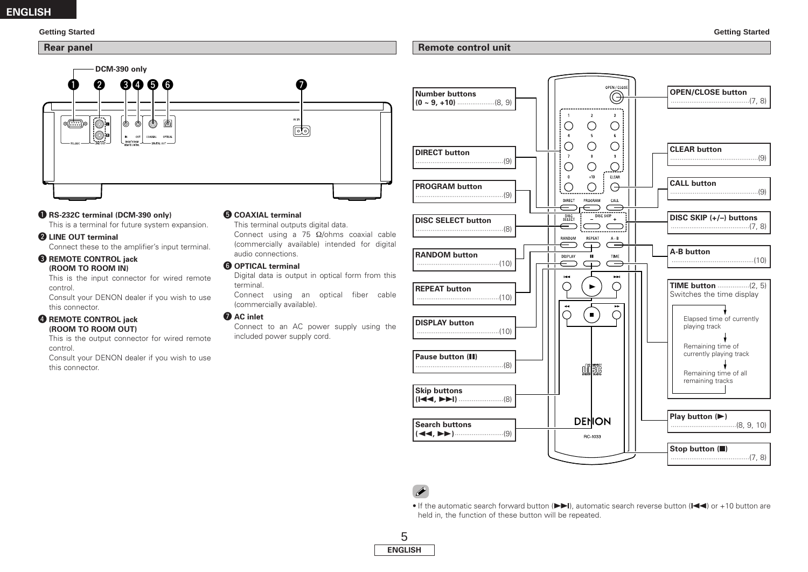### **ENGLISH**

#### **Remote control unit**



### q **RS-232C terminal (DCM-390 only)**

This is a terminal for future system expansion.

#### **@ LINE OUT terminal**

Connect these to the amplifier's input terminal.

#### **B** REMOTE CONTROL jack **(ROOM TO ROOM IN)**

This is the input connector for wired remote control.

Consult your DENON dealer if you wish to use this connector.

#### **4** REMOTE CONTROL jack **(ROOM TO ROOM OUT)**

This is the output connector for wired remote control.

Consult your DENON dealer if you wish to use this connector.

### $\bullet$  **COAXIAL terminal**

This terminal outputs digital data. Connect using a 75 Ω/ohms coaxial cable (commercially available) intended for digital audio connections.

#### **O** OPTICAL terminal

Digital data is output in optical form from this terminal.

Connect using an optical fiber cable (commercially available).

#### **Q** AC inlet

Connect to an AC power supply using the included power supply cord.



## **P**

• If the automatic search forward button  $(\blacktriangleright\blacktriangleright\!\!\!\!\perp\!\!\!\!\!\cdot)$ , automatic search reverse button ( $\blacktriangleright\!\!\!\!\perp\!\!\!\!\!\cdot\!\!\!\!\cdot\,$ ) or +10 button are held in, the function of these button will be repeated.

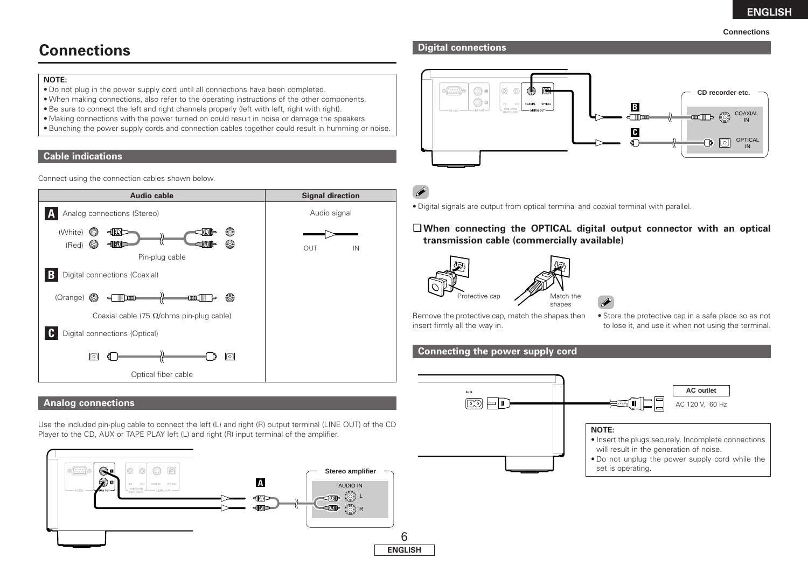#### **Connections**

# **Connections**

#### **NOTE:**

- Do not plug in the power supply cord until all connections have been completed.
- When making connections, also refer to the operating instructions of the other components.
- Be sure to connect the left and right channels properly (left with left, right with right).
- Making connections with the power turned on could result in noise or damage the speakers.
- Bunching the power supply cords and connection cables together could result in humming or noise.

### **Cable indications**

Connect using the connection cables shown below.



### **Analog connections**

Use the included pin-plug cable to connect the left (L) and right (R) output terminal (LINE OUT) of the CD Player to the CD, AUX or TAPE PLAY left (L) and right (R) input terminal of the amplifier.



### **Digital connections**





### ¢**When connecting the OPTICAL digital output connector with an optical transmission cable (commercially available)**



insert firmly all the way in.



• Store the protective cap in a safe place so as not to lose it, and use it when not using the terminal.

### **Connecting the power supply cord**

Remove the protective cap, match the shapes then

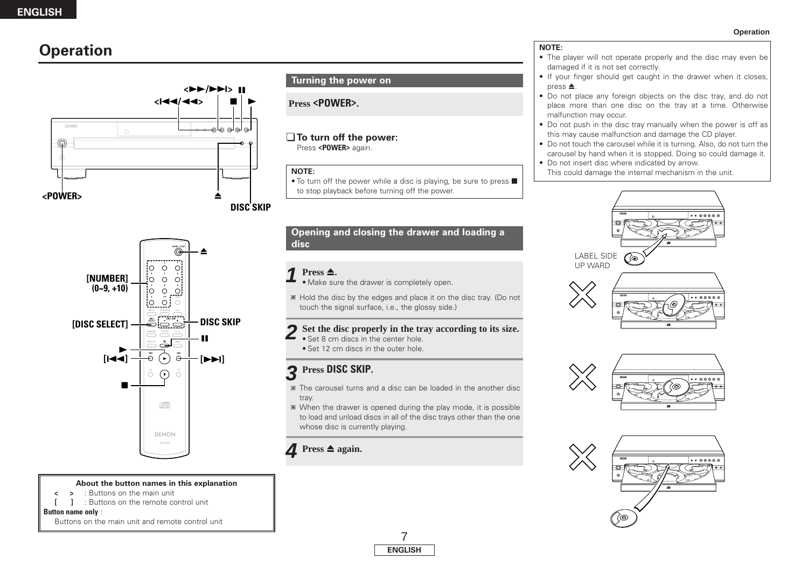## **Operation**



#### Ö, ≜ ||0 0 0|<br>|-<br>|0 0 0| **[NUMBER] (0~9, +10)** o ol  $\overline{1}$  $\begin{bmatrix} 0 & 0 \\ 0 & 0 \end{bmatrix}$ 2000 **DISC SKIP [DISC SELECT]** 3 آٺ  $\blacktriangleright$ **[**8**]**  $\overline{\mathcal{C}}$ **[**9**]** ∩  $\overline{O}$ **22** ÚEO DENON

#### **About the button names in this explanation**

- **< >** : Buttons on the main unit
- **[ ]** : Buttons on the remote control unit

#### **Button name only** :

Buttons on the main unit and remote control unit

### **Turning the power on**

### **Press <POWER>.**

#### ¢**To turn off the power:** Press **<POWER>** again.

#### **NOTE:**

 $\bullet$  To turn off the power while a disc is playing, be sure to press  $\blacksquare$ to stop playback before turning off the power.

### **Opening and closing the drawer and loading a disc**

#### $Press \triangle$ . **1**

• Make sure the drawer is completely open.

Hold the disc by the edges and place it on the disc tray. (Do not touch the signal surface, i.e., the glossy side.)

# 2 Set the disc properly in the tray according to its size.

- 
- Set 12 cm discs in the outer hole.

## **Press DISC SKIP. 3**

- The carousel turns and a disc can be loaded in the another disc tray.
- When the drawer is opened during the play mode, it is possible to load and unload discs in all of the disc trays other than the one whose disc is currently playing.

### $\triangle$  **Press**  $\triangle$  **again.**



- The player will not operate properly and the disc may even be damaged if it is not set correctly.
- If your finger should get caught in the drawer when it closes,  $pres \triangle$ .
- Do not place any foreign objects on the disc tray, and do not place more than one disc on the tray at a time. Otherwise malfunction may occur.
- Do not push in the disc tray manually when the power is off as this may cause malfunction and damage the CD player.
- Do not touch the carousel while it is turning. Also, do not turn the carousel by hand when it is stopped. Doing so could damage it.
- Do not insert disc where indicated by arrow.
	- This could damage the internal mechanism in the unit.





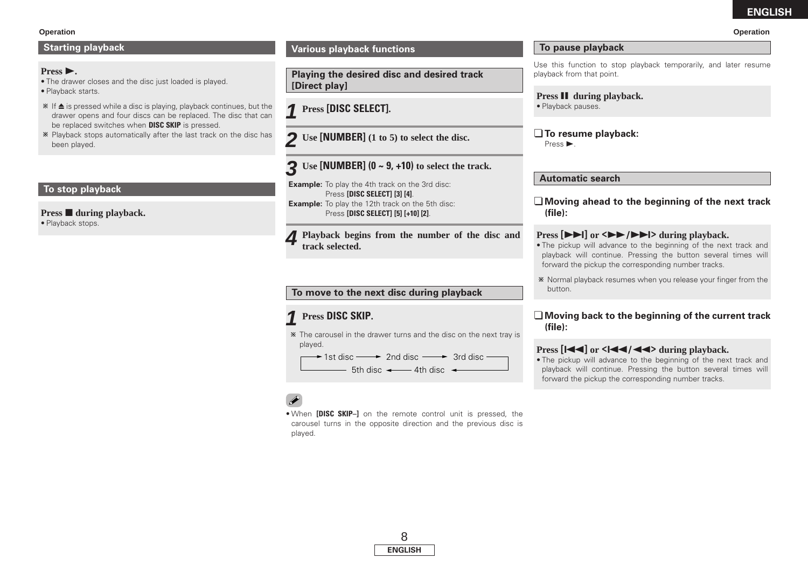#### **Operation Operation**

### **Starting playback**

### $Press$  $\triangleright$ .

- The drawer closes and the disc just loaded is played. • Playback starts.
- $*$  If  $\triangle$  is pressed while a disc is playing, playback continues, but the drawer opens and four discs can be replaced. The disc that can be replaced switches when **DISC SKIP** is pressed.
- Playback stops automatically after the last track on the disc has been played.

### **To stop playback**

**Press during playback.** • Playback stops.

### **Various playback functions**

**Playing the desired disc and desired track [Direct play]**

**Press [DISC SELECT]. 1**

**Use [NUMBER] (1 to 5) to select the disc. 2**

## **Use [NUMBER] (0 ~ 9, +10) to select the track. 3**

**Example:** To play the 4th track on the 3rd disc: Press **[DISC SELECT] [3] [4]**. **Example:** To play the 12th track on the 5th disc: Press **[DISC SELECT] [5] [+10] [2]**.

**Playback begins from the number of the disc and track selected.** 

### **To move to the next disc during playback**

## **Press DISC SKIP. 1**

The carousel in the drawer turns and the disc on the next tray is played.

1st disc ──→ 2nd disc ──→ 3rd disc  $-5$ th disc  $\leftarrow$  4th disc  $\leftarrow$ 

• When **[DISC SKIP–]** on the remote control unit is pressed, the carousel turns in the opposite direction and the previous disc is played.

### **To pause playback**

Use this function to stop playback temporarily, and later resume playback from that point.

**Press II** during playback. • Playback pauses.

¢**To resume playback:** Press  $\blacktriangleright$ .

### **Automatic search**

¢**Moving ahead to the beginning of the next track (file):**

### **Press**  $[\triangleright \triangleright]$  **or**  $\langle \triangleright \triangleright]$  $\rightarrow$  $\langle \triangleright \triangleright]$  **during playback.**

- The pickup will advance to the beginning of the next track and playback will continue. Pressing the button several times will forward the pickup the corresponding number tracks.
- Normal playback resumes when you release your finger from the button.

### ¢**Moving back to the beginning of the current track (file):**

### **Press**  $\left[ \left| \left| \left| \left| \left| \right| \right| \right| \right]$  **or**  $\left| \left| \left| \left| \left| \left| \right| \right| \right| \right| \right|$  **during playback.**

• The pickup will advance to the beginning of the next track and playback will continue. Pressing the button several times will forward the pickup the corresponding number tracks.

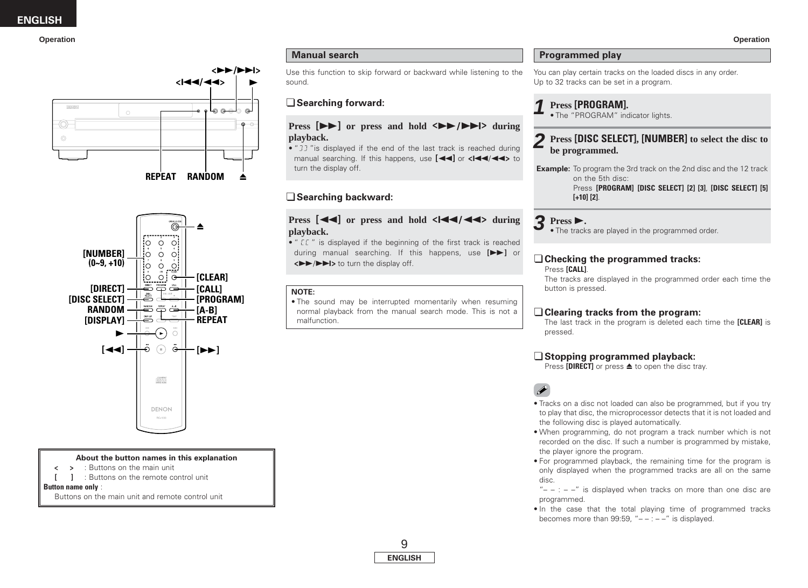



#### **About the button names in this explanation**

- **< >** : Buttons on the main unit
- **[ ]** : Buttons on the remote control unit

**Button name only** :

Buttons on the main unit and remote control unit

### **Manual search**

Use this function to skip forward or backward while listening to the sound.

### ¢**Searching forward:**

### **Press**  $[\triangleright \triangleright]$  **or press and hold**  $\langle \triangleright \triangleright \triangleright \triangleright \triangleright \triangleright \cdot \cdot \cdot \rangle$  **during playback.**

 $\bullet$  "  $\Box$  " is displayed if the end of the last track is reached during manual searching. If this happens, use  $\begin{bmatrix} \blacktriangleleft \end{bmatrix}$  or  $\blacktriangleleft \begin{bmatrix} \blacktriangleleft \end{bmatrix}$  to turn the display off

### ¢**Searching backward:**

### **Press**  $\begin{bmatrix} \mathbf{4} \mathbf{4} \end{bmatrix}$  or press and hold  $\langle \mathbf{4} \mathbf{4} \rangle$   $\mathbf{4} \mathbf{4}$  during **playback.**

• "  $\mathcal{I}\mathcal{I}$  " is displayed if the beginning of the first track is reached during manual searching. If this happens, use **[**7**]** or  $\left\langle \blacktriangleright \blacktriangleright/\blacktriangleright \blacktriangleright\right\rangle$  **to turn the display off.** 

### **NOTE:**

• The sound may be interrupted momentarily when resuming normal playback from the manual search mode. This is not a malfunction.

### **Programmed play**

You can play certain tracks on the loaded discs in any order. Up to 32 tracks can be set in a program.

### **Press [PROGRAM]. 1** •

The "PROGRAM" indicator lights.

### **Press [DISC SELECT], [NUMBER] to select the disc to 2 be programmed.**

**Example:** To program the 3rd track on the 2nd disc and the 12 track on the 5th disc:

Press **[PROGRAM] [DISC SELECT] [2] [3]**, **[DISC SELECT] [5] [+10] [2]**.

**Press** 1**. 3** •The tracks are played in the programmed order.

## ¢**Checking the programmed tracks:**

Press **[CALL]**.

The tracks are displayed in the programmed order each time the button is pressed.

### ¢**Clearing tracks from the program:**

The last track in the program is deleted each time the **[CLEAR]** is pressed.

### ¢**Stopping programmed playback:**

Press **[DIRECT]** or press **≜** to open the disc tray.

## $\overline{\mathscr{E}}$

- Tracks on a disc not loaded can also be programmed, but if you try to play that disc, the microprocessor detects that it is not loaded and the following disc is played automatically.
- When programming, do not program a track number which is not recorded on the disc. If such a number is programmed by mistake, the player ignore the program.
- For programmed playback, the remaining time for the program is only displayed when the programmed tracks are all on the same disc.

" $- -$  :  $- -$ " is displayed when tracks on more than one disc are programmed.

• In the case that the total playing time of programmed tracks becomes more than 99:59, " $-$  :  $-$  " is displayed.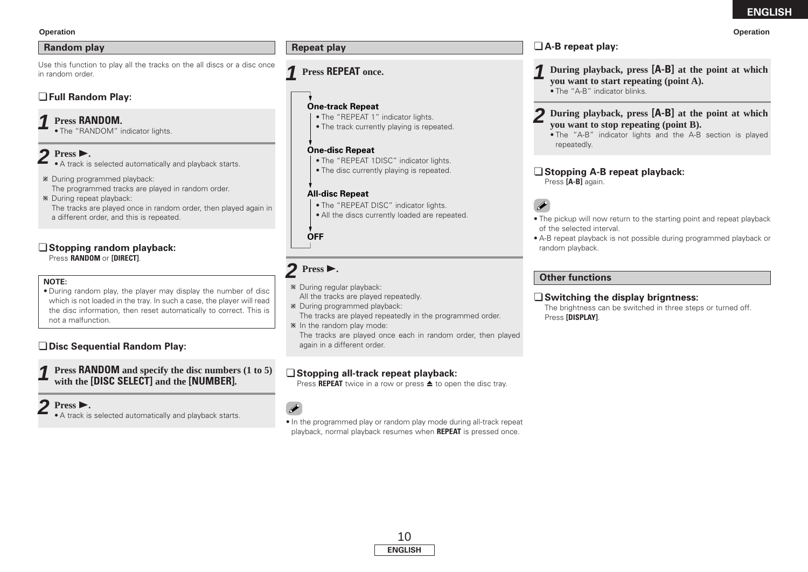### **Random play**

Use this function to play all the tracks on the all discs or a disc once in random order.

### ¢**Full Random Play:**

#### **Press RANDOM. 1**

• The "RANDOM" indicator lights.

#### **Press**  $\blacktriangleright$ **. 2**

- A track is selected automatically and playback starts.
- During programmed playback: The programmed tracks are played in random order.

During repeat playback: The tracks are played once in random order, then played again in a different order, and this is repeated.

### ¢**Stopping random playback:**

Press **RANDOM** or **[DIRECT]**.

### **NOTE:**

• During random play, the player may display the number of disc which is not loaded in the tray. In such a case, the player will read the disc information, then reset automatically to correct. This is not a malfunction.

### ¢**Disc Sequential Random Play:**

**Press RANDOM and specify the disc numbers (1 to 5) with the [DISC SELECT] and the [NUMBER]. 1**

## **Press** 1**. 2**

• A track is selected automatically and playback starts.

## **Press REPEAT once. 1**

### **One-track Repeat**

- The "REPEAT 1" indicator lights.
- The track currently playing is repeated.

### **One-disc Repeat**

- The "REPEAT 1DISC" indicator lights.
- The disc currently playing is repeated.

### **All-disc Repeat**

- The "REPEAT DISC" indicator lights.
- All the discs currently loaded are repeated.

**OFF**

# $2$  Press  $\blacktriangleright$ .

- During regular playback: All the tracks are played repeatedly.
- During programmed playback:
- The tracks are played repeatedly in the programmed order.
- $*$  In the random play mode: The tracks are played once each in random order, then played again in a different order.

### ¢**Stopping all-track repeat playback:**

Press **REPEAT** twice in a row or press **≜** to open the disc tray.

## $\overline{\bullet}$

• In the programmed play or random play mode during all-track repeat playback, normal playback resumes when **REPEAT** is pressed once.



#### **During playback, press [A-B] at the point at which you want to start repeating (point A). 1**

• The "A-B" indicator blinks.

#### **During playback, press [A-B] at the point at which you want to stop repeating (point B). 2**

• The "A-B" indicator lights and the A-B section is played repeatedly.

### ¢**Stopping A-B repeat playback:**

Press **[A-B]** again.

### $\overline{r}$

- The pickup will now return to the starting point and repeat playback of the selected interval.
- A-B repeat playback is not possible during programmed playback or random playback.

### **Other functions**

### ¢**Switching the display brigntness:**

The brightness can be switched in three steps or turned off. Press **[DISPLAY]**.



#### **Operation Operation**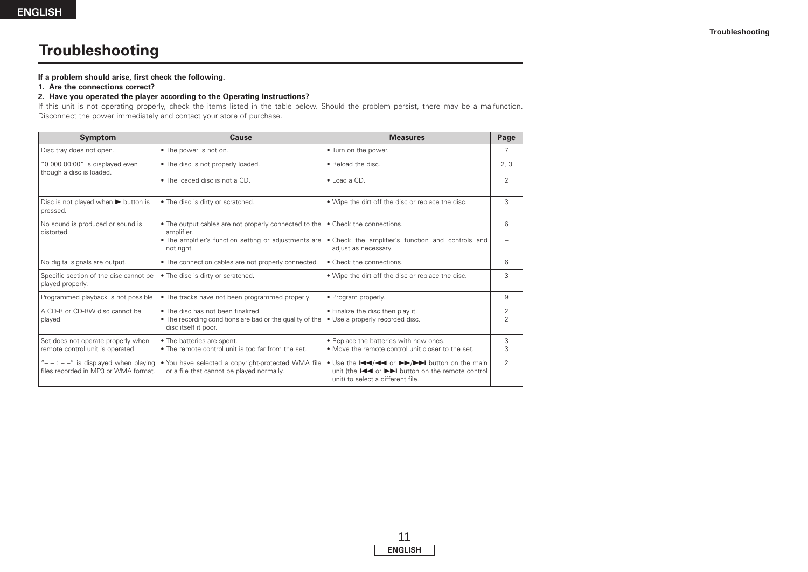# **Troubleshooting**

#### **If a problem should arise, first check the following.**

#### **1. Are the connections correct?**

### **2. Have you operated the player according to the Operating Instructions?**

If this unit is not operating properly, check the items listed in the table below. Should the problem persist, there may be a malfunction. Disconnect the power immediately and contact your store of purchase.

| <b>Symptom</b>                                                                      | <b>Cause</b>                                                                                                           | <b>Measures</b>                                                                                                                                                                      | Page                |
|-------------------------------------------------------------------------------------|------------------------------------------------------------------------------------------------------------------------|--------------------------------------------------------------------------------------------------------------------------------------------------------------------------------------|---------------------|
| Disc tray does not open.                                                            | • The power is not on.                                                                                                 | • Turn on the power.                                                                                                                                                                 | 7                   |
| "0 000 00:00" is displayed even<br>though a disc is loaded.                         | • The disc is not properly loaded.                                                                                     | • Reload the disc.                                                                                                                                                                   | 2.3                 |
|                                                                                     | • The loaded disc is not a CD.                                                                                         | $\bullet$ Load a CD.                                                                                                                                                                 | $\mathfrak{D}$      |
| Disc is not played when $\blacktriangleright$ button is<br>pressed.                 | • The disc is dirty or scratched.                                                                                      | • Wipe the dirt off the disc or replace the disc.                                                                                                                                    | 3                   |
| No sound is produced or sound is<br>distorted.                                      | • The output cables are not properly connected to the<br>amplifier.                                                    | • Check the connections.                                                                                                                                                             | 6                   |
|                                                                                     | . The amplifier's function setting or adjustments are<br>not right.                                                    | • Check the amplifier's function and controls and<br>adjust as necessary.                                                                                                            |                     |
| No digital signals are output.                                                      | . The connection cables are not properly connected.                                                                    | • Check the connections.                                                                                                                                                             | 6                   |
| Specific section of the disc cannot be<br>played properly.                          | • The disc is dirty or scratched.                                                                                      | • Wipe the dirt off the disc or replace the disc.                                                                                                                                    | 3                   |
| Programmed playback is not possible.                                                | • The tracks have not been programmed properly.                                                                        | • Program properly.                                                                                                                                                                  | 9                   |
| A CD-R or CD-RW disc cannot be<br>played.                                           | • The disc has not been finalized.<br>• The recording conditions are bad or the quality of the<br>disc itself it poor. | • Finalize the disc then play it.<br>• Use a properly recorded disc.                                                                                                                 | 2<br>$\overline{2}$ |
| Set does not operate properly when<br>remote control unit is operated.              | • The batteries are spent.<br>• The remote control unit is too far from the set.                                       | • Replace the batteries with new ones.<br>• Move the remote control unit closer to the set.                                                                                          | 3<br>3              |
| " $- -$ : $- -$ " is displayed when playing<br>files recorded in MP3 or WMA format. | • You have selected a copyright-protected WMA file<br>or a file that cannot be played normally.                        | • Use the III/III or <b>DD</b> /DDI button on the main<br>unit (the $\blacktriangleright$ or $\blacktriangleright$ button on the remote control<br>unit) to select a different file. | $\mathfrak{D}$      |

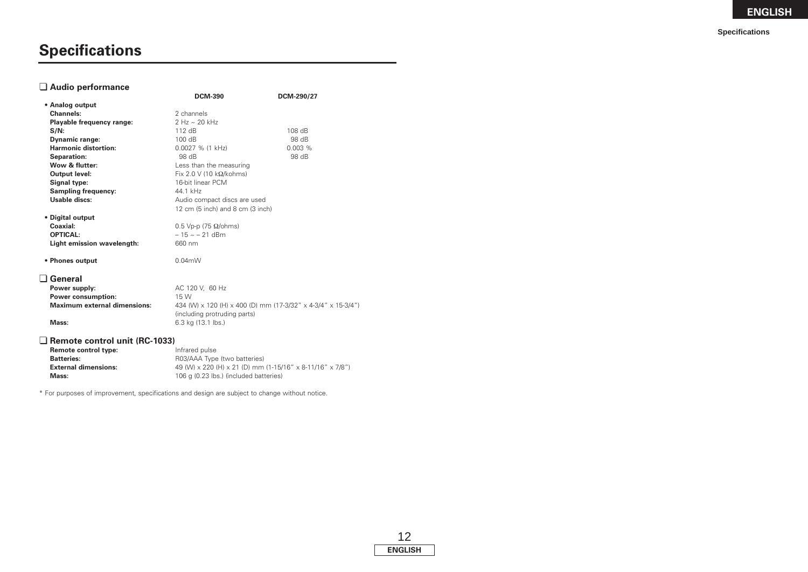# **Specifications**

### ¢ **Audio performance**

|                                           | <b>DCM-390</b>                                               | DCM-290/27                                                |
|-------------------------------------------|--------------------------------------------------------------|-----------------------------------------------------------|
| • Analog output                           |                                                              |                                                           |
| <b>Channels:</b>                          | 2 channels                                                   |                                                           |
| Playable frequency range:                 | 2 Hz ~ 20 kHz                                                |                                                           |
| $S/N$ :                                   | 112 dB                                                       | 108 dB                                                    |
| <b>Dynamic range:</b>                     | 100 dB                                                       | 98 dB                                                     |
| <b>Harmonic distortion:</b>               | $0.0027$ % (1 kHz)                                           | 0.003%                                                    |
| Separation:                               | 98 dB                                                        | 98 dB                                                     |
| Wow & flutter:                            | Less than the measuring                                      |                                                           |
| <b>Output level:</b>                      | Fix 2.0 V (10 $k\Omega/kohn$ s)                              |                                                           |
| Signal type:                              | 16-bit linear PCM                                            |                                                           |
| <b>Sampling frequency:</b>                | 44.1 kHz                                                     |                                                           |
| Usable discs:                             | Audio compact discs are used                                 |                                                           |
|                                           | 12 cm (5 inch) and 8 cm (3 inch)                             |                                                           |
| • Digital output                          |                                                              |                                                           |
| Coaxial:                                  | $0.5$ Vp-p (75 $\Omega$ /ohms)                               |                                                           |
| <b>OPTICAL:</b>                           | $-15 \sim -21$ dBm                                           |                                                           |
| Light emission wavelength:                | 660 nm                                                       |                                                           |
| • Phones output                           | $0.04$ m $W$                                                 |                                                           |
| $\Box$ General                            |                                                              |                                                           |
| Power supply:                             | AC 120 V, 60 Hz                                              |                                                           |
| <b>Power consumption:</b>                 | 15 W                                                         |                                                           |
| <b>Maximum external dimensions:</b>       | 434 (W) x 120 (H) x 400 (D) mm (17-3/32" x 4-3/4" x 15-3/4") |                                                           |
|                                           | (including protruding parts)                                 |                                                           |
| Mass:                                     | 6.3 kg (13.1 lbs.)                                           |                                                           |
| $\Box$ Remote control unit (RC-1033)      |                                                              |                                                           |
|                                           |                                                              |                                                           |
| Remote control type:<br><b>Batteries:</b> | Infrared pulse<br>R03/AAA Type (two batteries)               |                                                           |
| <b>External dimensions:</b>               |                                                              | 49 (W) x 220 (H) x 21 (D) mm (1-15/16" x 8-11/16" x 7/8") |
| Mass:                                     | 106 g (0.23 lbs.) (included batteries)                       |                                                           |
|                                           |                                                              |                                                           |

\* For purposes of improvement, specifications and design are subject to change without notice.